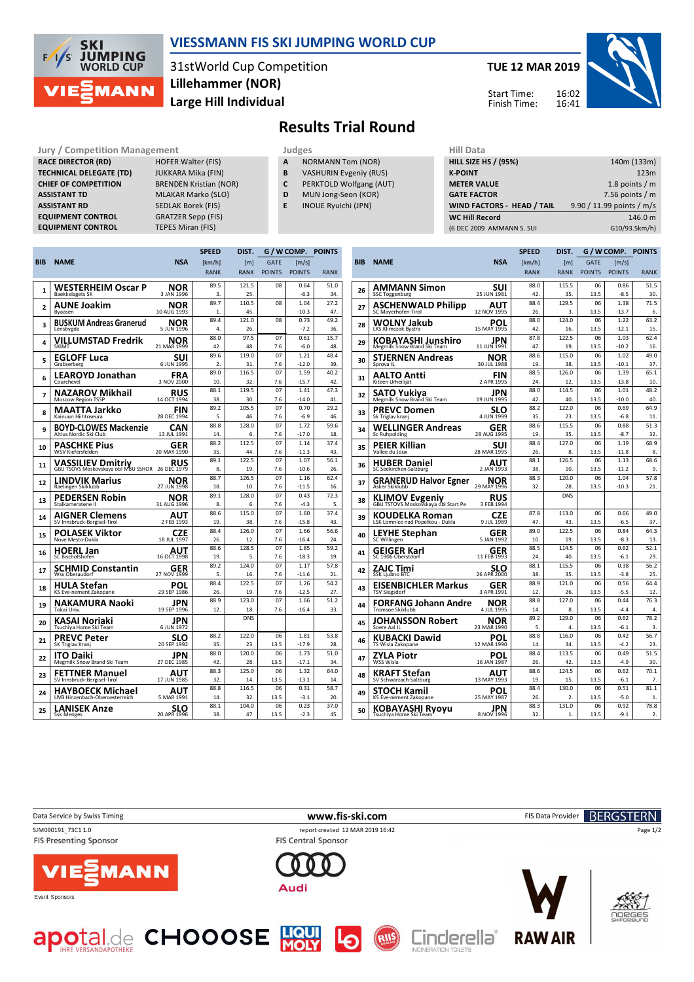

## **VIESSMANN FIS SKI JUMPING WORLD CUP**

31stWorld Cup Competition **Large Hill Individual Lillehammer (NOR)**

## **TUE 12 MAR 2019** 16:02 16:41 Start Time: Finish Time:



**Results Trial Round**

**Jury / Competition Management development development of the Judges of American Hill Data RACE DIRECTOR (RD) HOFER Walter (FIS) TECHNICAL DELEGATE (TD)** JUKKARA Mika (FIN) **CHIEF OF COMPETITION** BRENDEN Kristian (NOR) **ASSISTANT TD** MLAKAR Marko (SLO) **ASSISTANT RD** SEDLAK Borek (FIS) **EQUIPMENT CONTROL** GRATZER Sepp (FIS)

**EQUIPMENT CONTROL TEPES Miran (FIS)** 

- **A** NORMANN Tom (NOR) **B** VASHURIN Evgeniy (RUS)
- 
- **C** PERKTOLD Wolfgang (AUT)
- **D** MUN Jong-Seon (KOR)
- **E** INOUE Ryuichi (JPN)

| niil Data                         |                           |
|-----------------------------------|---------------------------|
| <b>HILL SIZE HS / (95%)</b>       | 140m (133m)               |
| <b>K-POINT</b>                    | 123m                      |
| <b>METER VALUE</b>                | 1.8 points $/m$           |
| <b>GATE FACTOR</b>                | 7.56 points $/m$          |
| <b>WIND FACTORS - HEAD / TAIL</b> | 9.90 / 11.99 points / m/s |
| <b>WC Hill Record</b>             | 146.0 m                   |
| (6 DEC 2009 AMMANN S. SUI         | G10/93.5km/h)             |
|                                   |                           |

|            |                                                                 |                    | <b>SPEED</b>   | DIST.       | G / W COMP.   |                 | <b>POINTS</b> |
|------------|-----------------------------------------------------------------|--------------------|----------------|-------------|---------------|-----------------|---------------|
| <b>BIB</b> | <b>NAME</b>                                                     | <b>NSA</b>         | [km/h]         | [m]         | <b>GATE</b>   | [m/s]           |               |
|            |                                                                 |                    | <b>RANK</b>    | <b>RANK</b> | <b>POINTS</b> | <b>POINTS</b>   | <b>RANK</b>   |
|            | WESTERHEIM Oscar P                                              | NOR                | 89.5           | 121.5       | 08            | 0.64            | 51.0          |
| 1          | <b>Baekkelagets SK</b>                                          | 3 JAN 1996         | 3.             | 25.         |               | $-6.3$          | 34.           |
|            | AUNE Joakim                                                     | NOR                | 89.7           | 110.5       | 08            | 1.04            | 27.2          |
| 2          | Bvaasen                                                         | 10 AUG 1993        | 1.             | 45.         |               | $-10.3$         | 47.           |
|            | BUSKUM Andreas Granerud                                         | NOR                | 89.4           | 121.0       | 08            | 0.73            | 49.2          |
| 3          | Lensbygda                                                       | 5 JUN 1996         | 4.             | 26.         |               | $-7.2$          | 36.           |
| 4          | VILLUMSTAD Fredrik                                              | NOR                | 88.0           | 97.5        | 07            | 0.61            | 15.7          |
|            | SKIMT                                                           | 21 MAR 1999        | 42.            | 48.         | 7.6           | $-6.0$          | 48.           |
| 5          | <b>EGLOFF Luca</b>                                              | suı                | 89.6           | 119.0       | 07            | 1.21            | 48.4          |
|            | Grabserberg                                                     | 6 JUN 1995         | $\mathfrak{D}$ | 31.         | 7.6           | $-12.0$         | 39.           |
| 6          | <b>LEAROYD Jonathan</b>                                         | FRA                | 89.0           | 116.5       | 07            | 1.59            | 40.2          |
|            | Courchevel                                                      | 3 NOV 2000         | 10.            | 32.         | 7.6           | $-15.7$         | 42.           |
| 7          | NAZAROV Mikhail                                                 | RUS                | 88.1           | 119.5       | 07            | 1.41            | 47.3          |
|            | Moscow Region TSSP                                              | 14 OCT 1994        | 38.            | 30.         | 7.6           | $-14.0$         | 41.           |
| 8          | MAATTA Jarkko                                                   | FIN                | 89.2           | 105.5       | 07            | 0.70            | 29.2          |
|            | Kainuun Hiihtoseura                                             | 28 DEC 1994        | 5.             | 46.         | 7.6           | $-6.9$          | 46.           |
| 9          | <b>BOYD-CLOWES Mackenzie</b>                                    | CAN                | 88.8           | 128.0       | 07            | 1.72            | 59.6          |
|            | Altius Nordic Ski Club                                          | 13 JUL 1991        | 14.            | 6.          | 7.6           | $-17.0$         | 18.           |
| 10         | PASCHKE Pius                                                    | GER                | 88.2           | 112.5       | 07            | 1.14            | 37.4          |
|            | WSV Kiefersfelden                                               | 20 MAY 1990        | 35.            | 44.         | 7.6           | $-11.3$         | 43.           |
| 11         | <b>VASSILIEV Dmitriy</b><br>GBU TSOVS Moskovskaya obi MBU SSHOR | <b>RUS</b>         | 89.1           | 122.5       | 07            | 1.07            | 56.1          |
|            |                                                                 | 26 DEC 1979        | 8.             | 19.         | 7.6           | $-10.6$         | 26.           |
| 12         | LINDVIK Marius                                                  | NOR                | 88.7           | 126.5       | 07            | 1.16            | 62.4          |
|            | Raelingen Skiklubb                                              | 27 JUN 1998        | 18.            | 10.         | 7.6<br>07     | $-11.5$<br>0.43 | 16.           |
| 13         | PEDERSEN Robin<br>Stalkameratene II                             | NOR<br>31 AUG 1996 | 89.1<br>8.     | 128.0<br>6. | 7.6           | $-4.3$          | 72.3<br>5.    |
|            |                                                                 |                    | 88.6           | 115.0       | 07            | 1.60            | 37.4          |
| 14         | <b>AIGNER Clemens</b><br>SV Innsbruck-Bergisel-Tirol            | AUT<br>2 FEB 1993  | 19.            | 38.         | 7.6           | $-15.8$         | 43.           |
|            |                                                                 |                    | 88.4           | 126.0       | 07            | 1.66            | 56.6          |
| 15         | POLASEK Viktor<br>Nove Mesto-Dukla                              | CZE<br>18 JUL 1997 | 26.            | 12.         | 7.6           | $-16.4$         | 24.           |
|            |                                                                 |                    | 88.6           | 128.5       | 07            | 1.85            | 59.2          |
| 16         | <b>HOERL Jan</b><br>SC Bischofshofen                            | AUT<br>16 OCT 1998 | 19.            | 5.          | 7.6           | $-18.3$         | 19            |
|            | SCHMID Constantin                                               | GER                | 89.2           | 124.0       | 07            | 1.17            | 57.8          |
| 17         | Wsv Oberaudorf                                                  | 27 NOV 1999        | 5.             | 16.         | 7.6           | $-11.6$         | 21.           |
|            | HULA Stefan                                                     | POL                | 88.4           | 122.5       | 07            | 1.26            | 54.2          |
| 18         | KS Eve-nement Zakopane                                          | 29 SEP 1986        | 26.            | 19.         | 7.6           | $-12.5$         | 27.           |
| 19         | NAKAMURA Naoki                                                  | JPN                | 88.9           | 123.0       | 07            | 1.66            | 51.2          |
|            | Tokai Univ.                                                     | 19 SEP 1996        | 12             | 18.         | 7.6           | $-16.4$         | 33.           |
| 20         | KASAI Noriaki<br>Tsuchiya Home Ski Team                         | JPN<br>6 JUN 1972  |                | <b>DNS</b>  |               |                 |               |
|            | PREVC Peter                                                     | SLO                | 88.2           | 122.0       | 06            | 1.81            | 53.8          |
| 21         | SK Triglav Kranj                                                | 20 SEP 1992        | 35.            | 23.         | 13.5          | $-17.9$         | 28.           |
|            | ITO Daiki                                                       | JPN                | 88.0           | 120.0       | 06            | 1.73            | 51.0          |
| 22         | Megmilk Snow Brand Ski Team                                     | 27 DEC 1985        | 42             | 28.         | 13.5          | $-17.1$         | 34.           |
|            | FETTNER Manuel                                                  | AUT                | 88.3           | 125.0       | 06            | 1.32            | 64.0          |
| 23         | SV Innsbruck-Bergisel-Tirol                                     | 17 JUN 1985        | 32             | 14          | 13.5          | $-13.1$         | 14            |
|            | HAYBOECK Michael                                                | AUT                | 88.8           | 116.5       | 06            | 0.31            | 58.7          |
| 24         | <b>UVB Hinzenbach-Oberoesterreich</b>                           | 5 MAR 1991         | 14.            | 32.         | 13.5          | $-3.1$          | 20.           |
| 25         | LANISEK Anze                                                    | SLO                | 88.1           | 104.0       | 06            | 0.23            | 37.0          |
|            | <b>Ssk Menges</b>                                               | 20 APR 1996        | 38.            | 47.         | 13.5          | $-2.3$          | 45.           |
|            |                                                                 |                    |                |             |               |                 |               |

apotal.de CHOOOSE HOU

|            |                                                              |                    | <b>SPEED</b> | DIST.        |               |                                                                                                                                                                                                                                                                                                                                                                                                                                                                                                                                                                                                                                                                                                                                        | <b>POINTS</b> |
|------------|--------------------------------------------------------------|--------------------|--------------|--------------|---------------|----------------------------------------------------------------------------------------------------------------------------------------------------------------------------------------------------------------------------------------------------------------------------------------------------------------------------------------------------------------------------------------------------------------------------------------------------------------------------------------------------------------------------------------------------------------------------------------------------------------------------------------------------------------------------------------------------------------------------------------|---------------|
| <b>BIB</b> | <b>NAME</b>                                                  | <b>NSA</b>         | [km/h]       | [ml]         | <b>GATE</b>   | $\lceil m/s \rceil$                                                                                                                                                                                                                                                                                                                                                                                                                                                                                                                                                                                                                                                                                                                    |               |
|            |                                                              |                    | <b>RANK</b>  | <b>RANK</b>  | <b>POINTS</b> | <b>POINTS</b>                                                                                                                                                                                                                                                                                                                                                                                                                                                                                                                                                                                                                                                                                                                          | <b>RANK</b>   |
| 26         | AMMANN Simon                                                 | SUI                | 88.0         | 115.5        | 06            | 0.86                                                                                                                                                                                                                                                                                                                                                                                                                                                                                                                                                                                                                                                                                                                                   | 51.5          |
|            | <b>SSC Toggenburg</b>                                        | 25 JUN 1981        | 42.          | 35.          | 13.5          | $-8.5$                                                                                                                                                                                                                                                                                                                                                                                                                                                                                                                                                                                                                                                                                                                                 | 30.           |
| 27         | ASCHENWALD Philipp                                           | AUT                | 88.4         | 129.5        | 06            | 1.38                                                                                                                                                                                                                                                                                                                                                                                                                                                                                                                                                                                                                                                                                                                                   | 71.5          |
|            | SC Mayerhofen-Tirol                                          | 12 NOV 1995        | 26.          | 3.           | 13.5          | $-13.7$                                                                                                                                                                                                                                                                                                                                                                                                                                                                                                                                                                                                                                                                                                                                | 6.            |
| 28         | WOLNY Jakub<br>LKS Klimczok Bystra                           | POL<br>15 MAY 1995 | 88.0<br>42.  | 124.0<br>16. | 13.5          | $-12.1$                                                                                                                                                                                                                                                                                                                                                                                                                                                                                                                                                                                                                                                                                                                                | 15.           |
| 29         | KOBAYASHI Junshiro                                           | JPN                | 87.8         | 122.5        | 06            | 1.03                                                                                                                                                                                                                                                                                                                                                                                                                                                                                                                                                                                                                                                                                                                                   | 62.4          |
|            | Megmilk Snow Brand Ski Team                                  | 11 JUN 1991        | 47.          | 19.          | 13.5          | $-10.2$                                                                                                                                                                                                                                                                                                                                                                                                                                                                                                                                                                                                                                                                                                                                | 16.           |
| 30         | STJERNEN Andreas                                             | NOR                | 88.6         | 115.0        | 06            | 1.02                                                                                                                                                                                                                                                                                                                                                                                                                                                                                                                                                                                                                                                                                                                                   | 49.0          |
|            | Sprova IL                                                    | 30 JUL 1988        | 19.          | 38.          | 13.5          | $-10.1$                                                                                                                                                                                                                                                                                                                                                                                                                                                                                                                                                                                                                                                                                                                                | 37.           |
| 31         | AALTO Antti                                                  | FIN                | 88.5         | 126.0        | 06            | 1.39                                                                                                                                                                                                                                                                                                                                                                                                                                                                                                                                                                                                                                                                                                                                   | 65.1          |
|            | Kiteen Urheilijat                                            | 2 APR 1995         | 24.          | 12.          | 13.5          |                                                                                                                                                                                                                                                                                                                                                                                                                                                                                                                                                                                                                                                                                                                                        |               |
| 32         | SATO Yukiya                                                  | JPN                | 88.0         | 114.5        |               |                                                                                                                                                                                                                                                                                                                                                                                                                                                                                                                                                                                                                                                                                                                                        |               |
|            | Megmilk Snow Brand Ski Team                                  | 19 JUN 1995        | 42.          | 40.          | 13.5          |                                                                                                                                                                                                                                                                                                                                                                                                                                                                                                                                                                                                                                                                                                                                        |               |
| 33         | PREVC Domen                                                  | SLO                | 88.2         | 122.0        |               | G / W COMP.<br>63.2<br>06<br>1.22<br>$-13.8$<br>10.<br>48.2<br>06<br>1.01<br>$-10.0$<br>40.<br>06<br>64.9<br>0.69<br>$-6.8$<br>11.<br>06<br>51.3<br>0.88<br>13.5<br>$-8.7$<br>32.<br>68.9<br>06<br>1.19<br>13.5<br>$-11.8$<br>8.<br>06<br>1.13<br>68.6<br>9.<br>$-11.2$<br>06<br>1.04<br>57.8<br>$-10.3$<br>21.<br>49.0<br>0.66<br>$-6.5$<br>37.<br>64.3<br>0.84<br>$-8.3$<br>13.<br>0.62<br>52.1<br>$-6.1$<br>29.<br>56.2<br>06<br>0.38<br>25.<br>$-3.8$<br>06<br>0.56<br>64.4<br>$-5.5$<br>12.<br>06<br>0.44<br>76.3<br>13.5<br>$-4.4$<br>4.<br>06<br>0.62<br>78.2<br>$-6.1$<br>3.<br>0.42<br>56.7<br>$-4.2$<br>23.<br>0.49<br>51.5<br>30.<br>$-4.9$<br>70.1<br>0.62<br>$-6.1$<br>7.<br>0.51<br>81.1<br>$-5.0$<br>1.<br>0.92<br>78.8 |               |
|            | Sk Triglav kranj                                             | 4 JUN 1999         | 35.          | 23.          | 13.5          |                                                                                                                                                                                                                                                                                                                                                                                                                                                                                                                                                                                                                                                                                                                                        |               |
| 34         | WELLINGER Andreas                                            | GER                | 88.6         | 115.5        |               |                                                                                                                                                                                                                                                                                                                                                                                                                                                                                                                                                                                                                                                                                                                                        |               |
|            | <b>Sc Ruhpolding</b>                                         | 28 AUG 1995        | 19           | 35.          |               |                                                                                                                                                                                                                                                                                                                                                                                                                                                                                                                                                                                                                                                                                                                                        |               |
| 35         | PEIER Killian                                                | SUI<br>28 MAR 1995 | 88.4         | 127.0        |               |                                                                                                                                                                                                                                                                                                                                                                                                                                                                                                                                                                                                                                                                                                                                        |               |
|            | Vallee du Joux                                               |                    | 26.<br>88.1  | 8.<br>126.5  |               |                                                                                                                                                                                                                                                                                                                                                                                                                                                                                                                                                                                                                                                                                                                                        |               |
| 36         | <b>HUBER Daniel</b><br>SC Seekirchen-Salzburg                | AUT<br>2 JAN 1993  | 38.          | 10.          | 13.5          |                                                                                                                                                                                                                                                                                                                                                                                                                                                                                                                                                                                                                                                                                                                                        |               |
|            |                                                              |                    | 88.3         | 120.0        |               |                                                                                                                                                                                                                                                                                                                                                                                                                                                                                                                                                                                                                                                                                                                                        |               |
| 37         | <b>GRANERUD Halvor Egner</b><br>Asker Skiklubb               | NOR<br>29 MAY 1996 | 32.          | 28.          | 13.5          |                                                                                                                                                                                                                                                                                                                                                                                                                                                                                                                                                                                                                                                                                                                                        |               |
| 38         | <b>KLIMOV Evgeniy</b><br>GBU TSTOVS Moskovskaya obl Start Pe | RUS<br>3 FEB 1994  |              | <b>DNS</b>   |               |                                                                                                                                                                                                                                                                                                                                                                                                                                                                                                                                                                                                                                                                                                                                        |               |
| 39         | KOUDELKA Roman                                               | CZE                | 87.8         | 113.0        | 06            |                                                                                                                                                                                                                                                                                                                                                                                                                                                                                                                                                                                                                                                                                                                                        |               |
|            | LSK Lomnice nad Popelkou - Dukla                             | 9 JUL 1989         | 47.          | 43.          | 13.5          |                                                                                                                                                                                                                                                                                                                                                                                                                                                                                                                                                                                                                                                                                                                                        |               |
| 40         | LEYHE Stephan                                                | GER                | 89.0         | 122.5        | 06            |                                                                                                                                                                                                                                                                                                                                                                                                                                                                                                                                                                                                                                                                                                                                        |               |
|            | SC Willingen                                                 | 5 JAN 1992         | 10.          | 19.          | 13.5          |                                                                                                                                                                                                                                                                                                                                                                                                                                                                                                                                                                                                                                                                                                                                        |               |
| 41         | GEIGER Karl                                                  | GER                | 88.5         | 114.5        | 06            |                                                                                                                                                                                                                                                                                                                                                                                                                                                                                                                                                                                                                                                                                                                                        |               |
|            | SC 1906 Oberstdorf                                           | 11 FEB 1993        | 24.          | 40.          | 13.5          |                                                                                                                                                                                                                                                                                                                                                                                                                                                                                                                                                                                                                                                                                                                                        |               |
| 42         | ZAJC Timi                                                    | SLO                | 88.1         | 115.5        |               |                                                                                                                                                                                                                                                                                                                                                                                                                                                                                                                                                                                                                                                                                                                                        |               |
|            | <b>SSK Ljubno BTC</b>                                        | 26 APR 2000        | 38.          | 35.          | 13.5          |                                                                                                                                                                                                                                                                                                                                                                                                                                                                                                                                                                                                                                                                                                                                        |               |
| 43         | EISENBICHLER Markus                                          | GER<br>3 APR 1991  | 88.9<br>12.  | 121.0<br>26. | 13.5          |                                                                                                                                                                                                                                                                                                                                                                                                                                                                                                                                                                                                                                                                                                                                        |               |
|            | <b>TSV Siegsdorf</b>                                         |                    | 88.8         | 127.0        |               |                                                                                                                                                                                                                                                                                                                                                                                                                                                                                                                                                                                                                                                                                                                                        |               |
| 44         | <b>FORFANG Johann Andre</b><br><b>Tromsoe Skiklubb</b>       | NOR<br>4 JUL 1995  | 14.          | 8.           |               |                                                                                                                                                                                                                                                                                                                                                                                                                                                                                                                                                                                                                                                                                                                                        |               |
|            |                                                              |                    | 89.2         | 129.0        |               |                                                                                                                                                                                                                                                                                                                                                                                                                                                                                                                                                                                                                                                                                                                                        |               |
| 45         | JOHANSSON Robert<br>Soere Aal IL                             | NOR<br>23 MAR 1990 | 5.           | 4.           | 13.5          |                                                                                                                                                                                                                                                                                                                                                                                                                                                                                                                                                                                                                                                                                                                                        |               |
|            |                                                              | POL                | 88.8         | 116.0        | 06            |                                                                                                                                                                                                                                                                                                                                                                                                                                                                                                                                                                                                                                                                                                                                        |               |
| 46         | KUBACKI Dawid<br>TS Wisla Zakopane                           | 12 MAR 1990        | 14.          | 34.          | 13.5          |                                                                                                                                                                                                                                                                                                                                                                                                                                                                                                                                                                                                                                                                                                                                        |               |
|            | ZYLA Piotr                                                   | POL                | 88.4         | 113.5        | 06            |                                                                                                                                                                                                                                                                                                                                                                                                                                                                                                                                                                                                                                                                                                                                        |               |
| 47         | WSS Wisla                                                    | 16 JAN 1987        | 26.          | 42.          | 13.5          |                                                                                                                                                                                                                                                                                                                                                                                                                                                                                                                                                                                                                                                                                                                                        |               |
| 48         | KRAFT Stefan                                                 | AUT                | 88.6         | 124.5        | 06            |                                                                                                                                                                                                                                                                                                                                                                                                                                                                                                                                                                                                                                                                                                                                        |               |
|            | SV Schwarzach-Salzburg                                       | 13 MAY 1993        | 19.          | 15.          | 13.5          |                                                                                                                                                                                                                                                                                                                                                                                                                                                                                                                                                                                                                                                                                                                                        |               |
| 49         | STOCH Kamil                                                  | POL                | 88.4         | 130.0        | 06            |                                                                                                                                                                                                                                                                                                                                                                                                                                                                                                                                                                                                                                                                                                                                        |               |
|            | KS Eve-nement Zakopane                                       | 25 MAY 1987        | 26.          | 2.           | 13.5          |                                                                                                                                                                                                                                                                                                                                                                                                                                                                                                                                                                                                                                                                                                                                        |               |
| 50         | <b>KOBAYASHI Ryoyu</b>                                       | JPN                | 88.3         | 131.0        | 06            |                                                                                                                                                                                                                                                                                                                                                                                                                                                                                                                                                                                                                                                                                                                                        |               |
|            | Tsuchiya Home Ski Teamʻ                                      | 8 NOV 1996         | 32.          | 1.           | 13.5          | $-9.1$                                                                                                                                                                                                                                                                                                                                                                                                                                                                                                                                                                                                                                                                                                                                 | 2.            |



RIIS

Cinderella°

**RAW AIR**